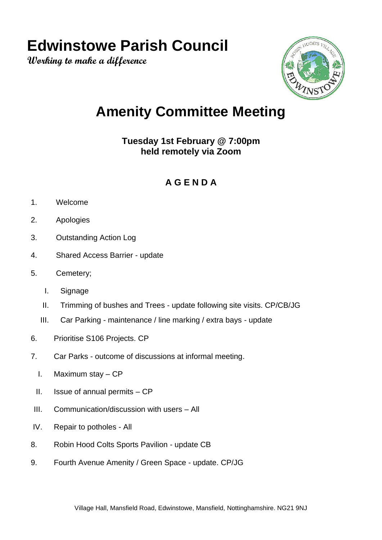## **Edwinstowe Parish Council**

**Working to make a difference**



## **Amenity Committee Meeting**

**Tuesday 1st February @ 7:00pm held remotely via Zoom**

## **A G E N D A**

- 1. Welcome
- 2. Apologies
- 3. Outstanding Action Log
- 4. Shared Access Barrier update
- 5. Cemetery;
	- I. Signage
	- II. Trimming of bushes and Trees update following site visits. CP/CB/JG
	- III. Car Parking maintenance / line marking / extra bays update
- 6. Prioritise S106 Projects. CP
- 7. Car Parks outcome of discussions at informal meeting.
	- I. Maximum stay CP
	- II. Issue of annual permits CP
- III. Communication/discussion with users All
- IV. Repair to potholes All
- 8. Robin Hood Colts Sports Pavilion update CB
- 9. Fourth Avenue Amenity / Green Space update. CP/JG